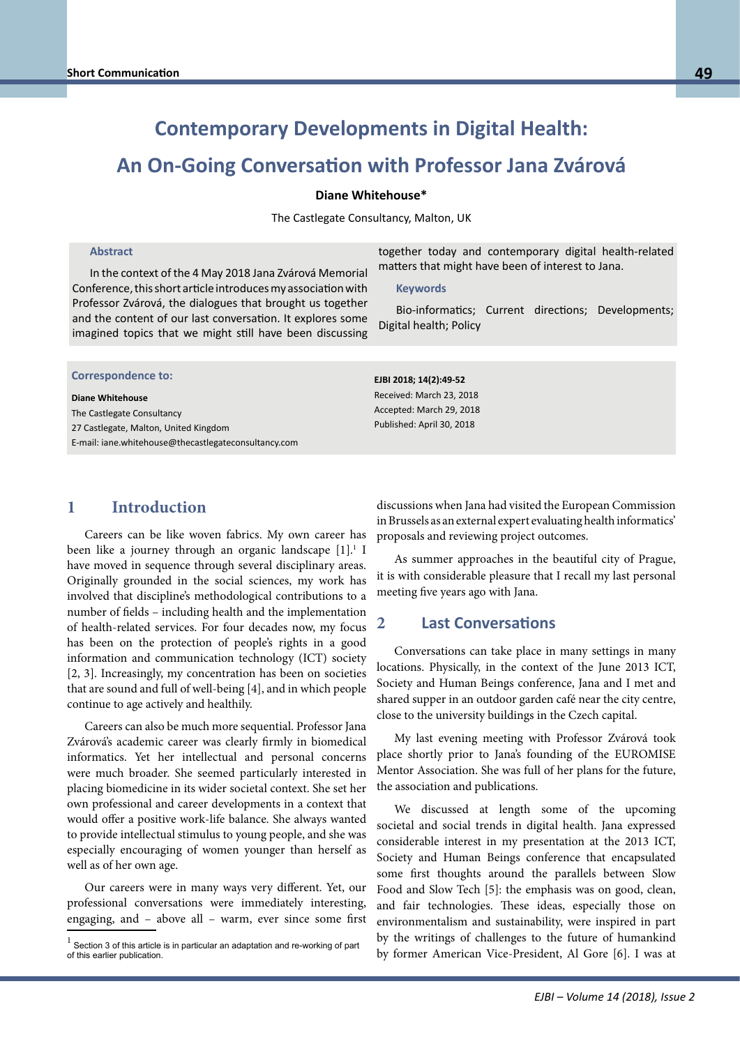# **Contemporary Developments in Digital Health:**

# **An On-Going Conversation with Professor Jana Zvárová**

#### **Diane Whitehouse\***

The Castlegate Consultancy, Malton, UK

#### **Abstract**

In the context of the 4 May 2018 Jana Zvárová Memorial Conference, this short article introduces my association with Professor Zvárová, the dialogues that brought us together and the content of our last conversation. It explores some imagined topics that we might still have been discussing

together today and contemporary digital health-related matters that might have been of interest to Jana.

#### **Keywords**

Bio-informatics; Current directions; Developments; Digital health; Policy

| <b>Correspondence to:</b> |  |
|---------------------------|--|
|---------------------------|--|

**Prof. Bernst Blood Blood Blood Blood Blood Blood Blood Blood Blood Blood Blood Blood Blood Blood Blood Blood B**<br>The Castlegate Consultancy me dashegate consultancy<br>27 Castlegate, Malton, United Kingdom E-mail: bernd.blobel@klinik.uni-regensburg.de E-mail: iane.whitehouse@thecastlegateconsultancy.com**Diane Whitehouse** 

**EJBI 2018; 14(2):49-52** Received: March 23, 2018 Accepted: March 29, 2018 Published: April 30, 2018

### **1 Introduction**

Careers can be like woven fabrics. My own career has been like a journey through an organic landscape [1].<sup>1</sup> I have moved in sequence through several disciplinary areas. Originally grounded in the social sciences, my work has involved that discipline's methodological contributions to a number of fields – including health and the implementation of health-related services. For four decades now, my focus has been on the protection of people's rights in a good information and communication technology (ICT) society [2, 3]. Increasingly, my concentration has been on societies that are sound and full of well-being [4], and in which people continue to age actively and healthily.

Careers can also be much more sequential. Professor Jana Zvárová's academic career was clearly firmly in biomedical informatics. Yet her intellectual and personal concerns were much broader. She seemed particularly interested in placing biomedicine in its wider societal context. She set her own professional and career developments in a context that would offer a positive work-life balance. She always wanted to provide intellectual stimulus to young people, and she was especially encouraging of women younger than herself as well as of her own age.

Our careers were in many ways very different. Yet, our professional conversations were immediately interesting, engaging, and – above all – warm, ever since some first

discussions when Jana had visited the European Commission in Brussels as an external expert evaluating health informatics' proposals and reviewing project outcomes.

As summer approaches in the beautiful city of Prague, it is with considerable pleasure that I recall my last personal meeting five years ago with Jana.

### **2 Last Conversations**

Conversations can take place in many settings in many locations. Physically, in the context of the June 2013 ICT, Society and Human Beings conference, Jana and I met and shared supper in an outdoor garden café near the city centre, close to the university buildings in the Czech capital.

My last evening meeting with Professor Zvárová took place shortly prior to Jana's founding of the EUROMISE Mentor Association. She was full of her plans for the future, the association and publications.

We discussed at length some of the upcoming societal and social trends in digital health. Jana expressed considerable interest in my presentation at the 2013 ICT, Society and Human Beings conference that encapsulated some first thoughts around the parallels between Slow Food and Slow Tech [5]: the emphasis was on good, clean, and fair technologies. These ideas, especially those on environmentalism and sustainability, were inspired in part by the writings of challenges to the future of humankind by former American Vice-President, Al Gore [6]. I was at

 $<sup>1</sup>$  Section 3 of this article is in particular an adaptation and re-working of part</sup> of this earlier publication.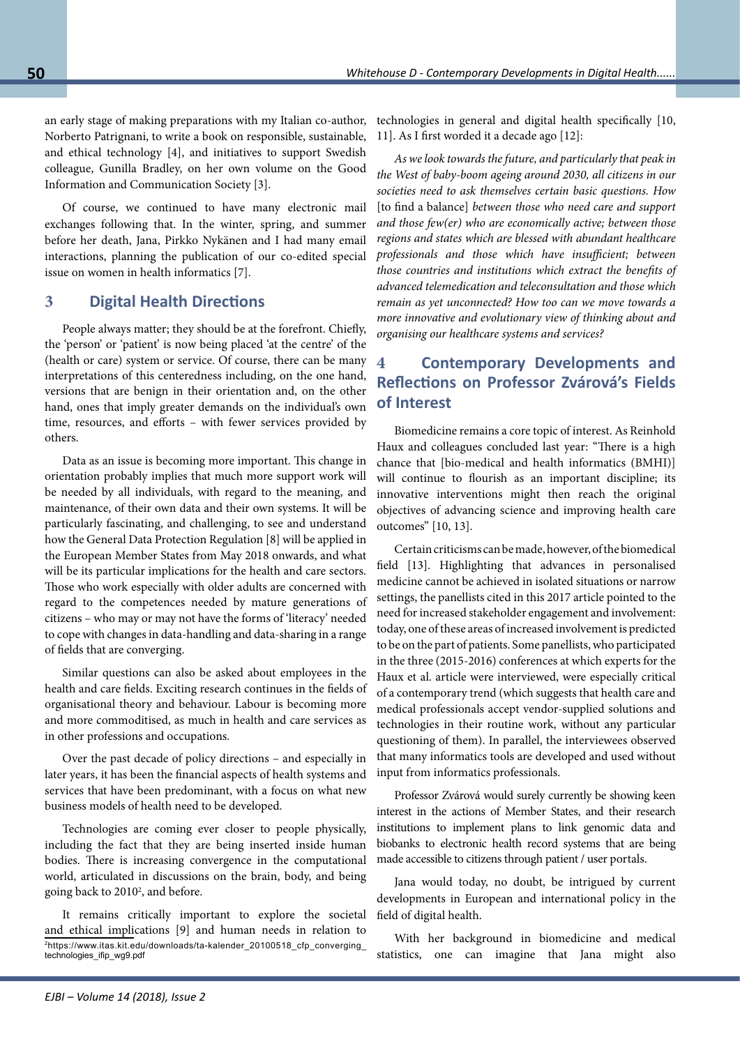an early stage of making preparations with my Italian co-author, Norberto Patrignani, to write a book on responsible, sustainable, and ethical technology [4], and initiatives to support Swedish colleague, Gunilla Bradley, on her own volume on the Good Information and Communication Society [3].

Of course, we continued to have many electronic mail exchanges following that. In the winter, spring, and summer before her death, Jana, Pirkko Nykänen and I had many email interactions, planning the publication of our co-edited special issue on women in health informatics [7].

## **3 Digital Health Directions**

People always matter; they should be at the forefront. Chiefly, the 'person' or 'patient' is now being placed 'at the centre' of the (health or care) system or service. Of course, there can be many interpretations of this centeredness including, on the one hand, versions that are benign in their orientation and, on the other hand, ones that imply greater demands on the individual's own time, resources, and efforts – with fewer services provided by others.

Data as an issue is becoming more important. This change in orientation probably implies that much more support work will be needed by all individuals, with regard to the meaning, and maintenance, of their own data and their own systems. It will be particularly fascinating, and challenging, to see and understand how the General Data Protection Regulation [8] will be applied in the European Member States from May 2018 onwards, and what will be its particular implications for the health and care sectors. Those who work especially with older adults are concerned with regard to the competences needed by mature generations of citizens – who may or may not have the forms of 'literacy' needed to cope with changes in data-handling and data-sharing in a range of fields that are converging.

Similar questions can also be asked about employees in the health and care fields. Exciting research continues in the fields of organisational theory and behaviour. Labour is becoming more and more commoditised, as much in health and care services as in other professions and occupations.

Over the past decade of policy directions – and especially in later years, it has been the financial aspects of health systems and services that have been predominant, with a focus on what new business models of health need to be developed.

Technologies are coming ever closer to people physically, including the fact that they are being inserted inside human bodies. There is increasing convergence in the computational world, articulated in discussions on the brain, body, and being going back to 2010<sup>2</sup>, and before.

It remains critically important to explore the societal and ethical implications [9] and human needs in relation to [2https://www.itas.kit.edu/downloads/ta-kalender\\_20100518\\_cfp\\_converging\\_](https://www.itas.kit.edu/downloads/ta-kalender_20100518_cfp_converging_technologies_ifip_wg9.pdf) [technologies\\_ifip\\_wg9.pdf](https://www.itas.kit.edu/downloads/ta-kalender_20100518_cfp_converging_technologies_ifip_wg9.pdf)

technologies in general and digital health specifically [10, 11]. As I first worded it a decade ago [12]:

*As we look towards the future, and particularly that peak in the West of baby-boom ageing around 2030, all citizens in our societies need to ask themselves certain basic questions. How*  [to find a balance] *between those who need care and support and those few(er) who are economically active; between those regions and states which are blessed with abundant healthcare professionals and those which have insufficient; between those countries and institutions which extract the benefits of advanced telemedication and teleconsultation and those which remain as yet unconnected? How too can we move towards a more innovative and evolutionary view of thinking about and organising our healthcare systems and services?* 

# **4 Contemporary Developments and Reflections on Professor Zvárová's Fields of Interest**

Biomedicine remains a core topic of interest. As Reinhold Haux and colleagues concluded last year: "There is a high chance that [bio-medical and health informatics (BMHI)] will continue to flourish as an important discipline; its innovative interventions might then reach the original objectives of advancing science and improving health care outcomes" [10, 13].

Certain criticisms can be made, however, of the biomedical field [13]. Highlighting that advances in personalised medicine cannot be achieved in isolated situations or narrow settings, the panellists cited in this 2017 article pointed to the need for increased stakeholder engagement and involvement: today, one of these areas of increased involvement is predicted to be on the part of patients. Some panellists, who participated in the three (2015-2016) conferences at which experts for the Haux et al. article were interviewed, were especially critical of a contemporary trend (which suggests that health care and medical professionals accept vendor-supplied solutions and technologies in their routine work, without any particular questioning of them). In parallel, the interviewees observed that many informatics tools are developed and used without input from informatics professionals.

Professor Zvárová would surely currently be showing keen interest in the actions of Member States, and their research institutions to implement plans to link genomic data and biobanks to electronic health record systems that are being made accessible to citizens through patient / user portals.

Jana would today, no doubt, be intrigued by current developments in European and international policy in the field of digital health.

With her background in biomedicine and medical statistics, one can imagine that Jana might also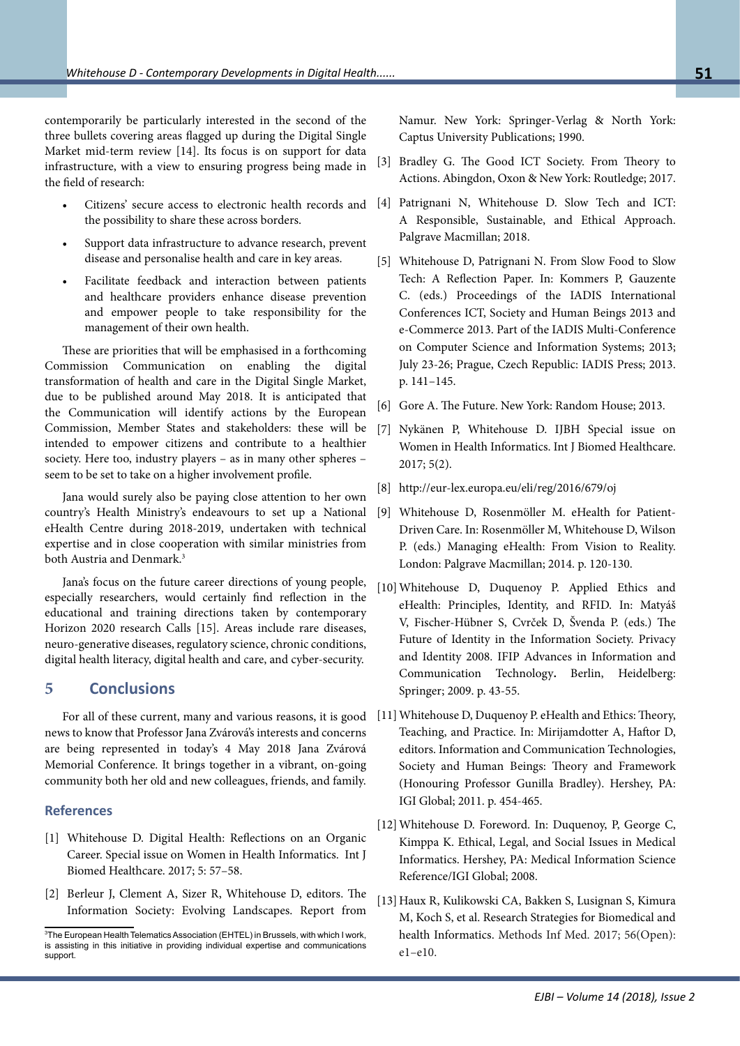contemporarily be particularly interested in the second of the three bullets covering areas flagged up during the Digital Single Market mid-term review [14]. Its focus is on support for data infrastructure, with a view to ensuring progress being made in the field of research:

- the possibility to share these across borders.
- Support data infrastructure to advance research, prevent disease and personalise health and care in key areas.
- Facilitate feedback and interaction between patients and healthcare providers enhance disease prevention and empower people to take responsibility for the management of their own health.

These are priorities that will be emphasised in a forthcoming Commission Communication on enabling the digital transformation of health and care in the Digital Single Market, due to be published around May 2018. It is anticipated that the Communication will identify actions by the European Commission, Member States and stakeholders: these will be intended to empower citizens and contribute to a healthier society. Here too, industry players – as in many other spheres – seem to be set to take on a higher involvement profile.

Jana would surely also be paying close attention to her own country's Health Ministry's endeavours to set up a National eHealth Centre during 2018-2019, undertaken with technical expertise and in close cooperation with similar ministries from both Austria and Denmark.<sup>3</sup>

Jana's focus on the future career directions of young people, especially researchers, would certainly find reflection in the educational and training directions taken by contemporary Horizon 2020 research Calls [15]. Areas include rare diseases, neuro-generative diseases, regulatory science, chronic conditions, digital health literacy, digital health and care, and cyber-security.

### **5 Conclusions**

For all of these current, many and various reasons, it is good news to know that Professor Jana Zvárová's interests and concerns are being represented in today's 4 May 2018 Jana Zvárová Memorial Conference. It brings together in a vibrant, on-going community both her old and new colleagues, friends, and family.

#### **References**

- [1] Whitehouse D. Digital Health: Reflections on an Organic Career. Special issue on Women in Health Informatics. Int J Biomed Healthcare. 2017; 5: 57–58.
- [2] Berleur J, Clement A, Sizer R, Whitehouse D, editors. The Information Society: Evolving Landscapes. Report from

Namur. New York: Springer-Verlag & North York: Captus University Publications; 1990.

- [3] Bradley G. The Good ICT Society. From Theory to Actions. Abingdon, Oxon & New York: Routledge; 2017.
- Citizens' secure access to electronic health records and [4] Patrignani N, Whitehouse D. Slow Tech and ICT: A Responsible, Sustainable, and Ethical Approach. Palgrave Macmillan; 2018.
	- [5] Whitehouse D, Patrignani N. From Slow Food to Slow Tech: A Reflection Paper. In: Kommers P, Gauzente C. (eds.) Proceedings of the IADIS International Conferences ICT, Society and Human Beings 2013 and e-Commerce 2013. Part of the IADIS Multi-Conference on Computer Science and Information Systems; 2013; July 23-26; Prague, Czech Republic: IADIS Press; 2013. p. 141–145.
	- [6] Gore A. The Future. New York: Random House; 2013.
	- [7] Nykänen P, Whitehouse D. IJBH Special issue on Women in Health Informatics. Int J Biomed Healthcare. 2017; 5(2).
	- [8] http://eur-lex.europa.eu/eli/reg/2016/679/oj
	- [9] Whitehouse D, Rosenmöller M. eHealth for Patient-Driven Care. In: Rosenmöller M, Whitehouse D, Wilson P. (eds.) Managing eHealth: From Vision to Reality. London: Palgrave Macmillan; 2014. p. 120-130.
	- [10]Whitehouse D, Duquenoy P. Applied Ethics and eHealth: Principles, Identity, and RFID. In: Matyáš V, Fischer-Hübner S, Cvrček D, Švenda P. (eds.) The Future of Identity in the Information Society. Privacy and Identity 2008. IFIP Advances in Information and Communication Technology**.** Berlin, Heidelberg: Springer; 2009. p. 43-55.
	- [11] Whitehouse D, Duquenoy P. eHealth and Ethics: Theory, Teaching, and Practice. In: Mirijamdotter A, Haftor D, editors. Information and Communication Technologies, Society and Human Beings: Theory and Framework (Honouring Professor Gunilla Bradley). Hershey, PA: IGI Global; 2011. p. 454-465.
	- [12] Whitehouse D. Foreword. In: Duquenoy, P, George C, Kimppa K. Ethical, Legal, and Social Issues in Medical Informatics. Hershey, PA: Medical Information Science Reference/IGI Global; 2008.
	- [13] Haux R, Kulikowski CA, Bakken S, Lusignan S, Kimura M, Koch S, et al. Research Strategies for Biomedical and health Informatics. Methods Inf Med. 2017; 56(Open): e1–e10.

<sup>3</sup> The European Health Telematics Association (EHTEL) in Brussels, with which I work, is assisting in this initiative in providing individual expertise and communications support.